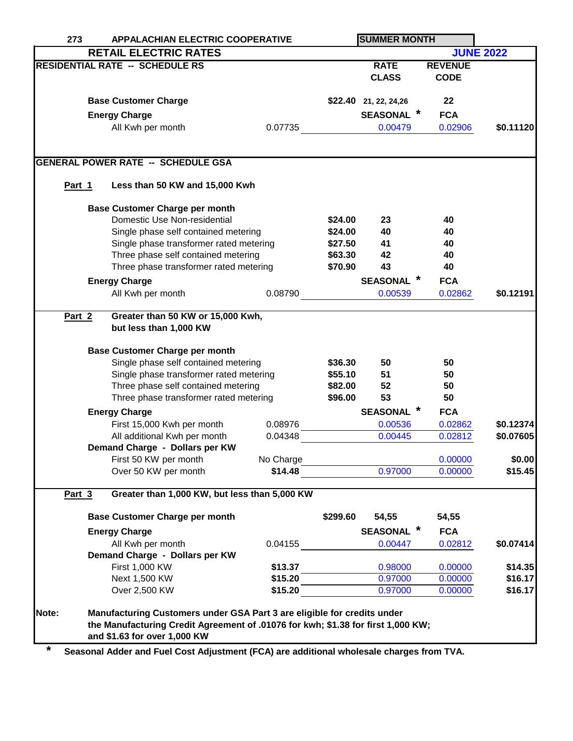| 273    | <b>APPALACHIAN ELECTRIC COOPERATIVE</b>                                          |  |           | <b>SUMMER MONTH</b> |                         |                |                  |
|--------|----------------------------------------------------------------------------------|--|-----------|---------------------|-------------------------|----------------|------------------|
|        | <b>RETAIL ELECTRIC RATES</b>                                                     |  |           |                     |                         |                | <b>JUNE 2022</b> |
|        | <b>RESIDENTIAL RATE -- SCHEDULE RS</b>                                           |  |           |                     | <b>RATE</b>             | <b>REVENUE</b> |                  |
|        |                                                                                  |  |           |                     | <b>CLASS</b>            | <b>CODE</b>    |                  |
|        |                                                                                  |  |           |                     |                         |                |                  |
|        | <b>Base Customer Charge</b>                                                      |  |           |                     | $$22.40$ 21, 22, 24, 26 | 22             |                  |
|        | <b>Energy Charge</b>                                                             |  |           |                     | <b>SEASONAL</b> *       | <b>FCA</b>     |                  |
|        | All Kwh per month                                                                |  | 0.07735   |                     | 0.00479                 | 0.02906        | \$0.11120        |
|        |                                                                                  |  |           |                     |                         |                |                  |
|        |                                                                                  |  |           |                     |                         |                |                  |
|        | <b>GENERAL POWER RATE -- SCHEDULE GSA</b>                                        |  |           |                     |                         |                |                  |
| Part 1 | Less than 50 KW and 15,000 Kwh                                                   |  |           |                     |                         |                |                  |
|        |                                                                                  |  |           |                     |                         |                |                  |
|        | <b>Base Customer Charge per month</b>                                            |  |           |                     |                         |                |                  |
|        | Domestic Use Non-residential                                                     |  |           | \$24.00             | 23                      | 40             |                  |
|        | Single phase self contained metering                                             |  |           | \$24.00             | 40                      | 40             |                  |
|        | Single phase transformer rated metering                                          |  |           | \$27.50             | 41                      | 40             |                  |
|        | Three phase self contained metering                                              |  |           | \$63.30             | 42                      | 40<br>40       |                  |
|        | Three phase transformer rated metering                                           |  |           | \$70.90             | 43                      |                |                  |
|        | <b>Energy Charge</b>                                                             |  |           |                     | <b>SEASONAL</b>         | <b>FCA</b>     |                  |
|        | All Kwh per month                                                                |  | 0.08790   |                     | 0.00539                 | 0.02862        | \$0.12191        |
| Part 2 | Greater than 50 KW or 15,000 Kwh,                                                |  |           |                     |                         |                |                  |
|        | but less than 1,000 KW                                                           |  |           |                     |                         |                |                  |
|        |                                                                                  |  |           |                     |                         |                |                  |
|        | <b>Base Customer Charge per month</b>                                            |  |           |                     |                         |                |                  |
|        | Single phase self contained metering                                             |  |           | \$36.30             | 50                      | 50             |                  |
|        | Single phase transformer rated metering                                          |  |           | \$55.10             | 51                      | 50             |                  |
|        | Three phase self contained metering                                              |  |           | \$82.00             | 52                      | 50             |                  |
|        | Three phase transformer rated metering                                           |  |           | \$96.00             | 53                      | 50             |                  |
|        | <b>Energy Charge</b>                                                             |  |           |                     | <b>SEASONAL</b>         | <b>FCA</b>     |                  |
|        | First 15,000 Kwh per month                                                       |  | 0.08976   |                     | 0.00536                 | 0.02862        | \$0.12374        |
|        | All additional Kwh per month                                                     |  | 0.04348   |                     | 0.00445                 | 0.02812        | \$0.07605        |
|        | Demand Charge - Dollars per KW                                                   |  |           |                     |                         |                |                  |
|        | First 50 KW per month                                                            |  | No Charge |                     |                         | 0.00000        | \$0.00           |
|        | Over 50 KW per month                                                             |  | \$14.48   |                     | 0.97000                 | 0.00000        | \$15.45          |
|        |                                                                                  |  |           |                     |                         |                |                  |
| Part 3 | Greater than 1,000 KW, but less than 5,000 KW                                    |  |           |                     |                         |                |                  |
|        | <b>Base Customer Charge per month</b>                                            |  |           | \$299.60            | 54,55                   | 54,55          |                  |
|        | <b>Energy Charge</b>                                                             |  |           |                     | <b>SEASONAL</b>         | <b>FCA</b>     |                  |
|        | All Kwh per month                                                                |  | 0.04155   |                     | 0.00447                 | 0.02812        | \$0.07414        |
|        | Demand Charge - Dollars per KW                                                   |  |           |                     |                         |                |                  |
|        | First 1,000 KW                                                                   |  | \$13.37   |                     | 0.98000                 | 0.00000        | \$14.35          |
|        | Next 1,500 KW                                                                    |  | \$15.20   |                     | 0.97000                 | 0.00000        | \$16.17          |
|        | Over 2,500 KW                                                                    |  | \$15.20   |                     | 0.97000                 | 0.00000        | \$16.17          |
|        |                                                                                  |  |           |                     |                         |                |                  |
| Note:  | Manufacturing Customers under GSA Part 3 are eligible for credits under          |  |           |                     |                         |                |                  |
|        | the Manufacturing Credit Agreement of .01076 for kwh; \$1.38 for first 1,000 KW; |  |           |                     |                         |                |                  |
|        | and \$1.63 for over 1,000 KW                                                     |  |           |                     |                         |                |                  |

**\* Seasonal Adder and Fuel Cost Adjustment (FCA) are additional wholesale charges from TVA.**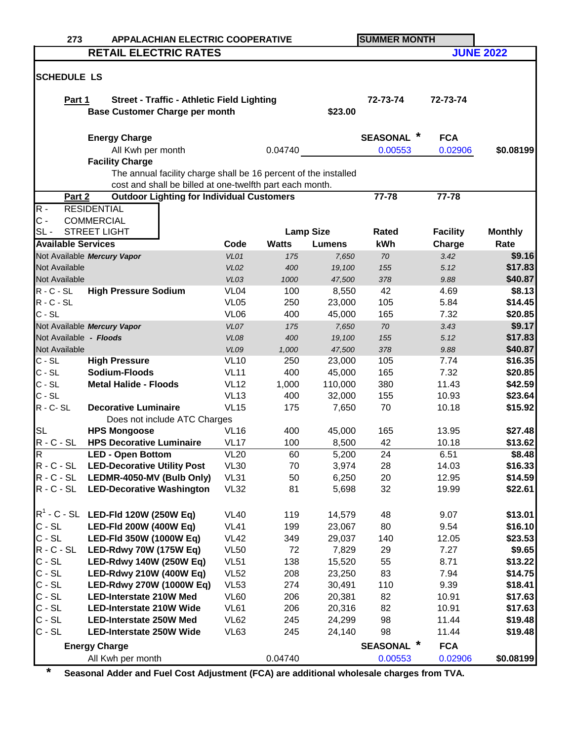| 273                       | <b>APPALACHIAN ELECTRIC COOPERATIVE</b>                         |                            |              |                  | <b>SUMMER MONTH</b>       |                 |                   |  |
|---------------------------|-----------------------------------------------------------------|----------------------------|--------------|------------------|---------------------------|-----------------|-------------------|--|
|                           | <b>RETAIL ELECTRIC RATES</b>                                    |                            |              |                  |                           |                 | <b>JUNE 2022</b>  |  |
|                           |                                                                 |                            |              |                  |                           |                 |                   |  |
| <b>SCHEDULE LS</b>        |                                                                 |                            |              |                  |                           |                 |                   |  |
|                           |                                                                 |                            |              |                  |                           |                 |                   |  |
| Part 1                    | <b>Street - Traffic - Athletic Field Lighting</b>               |                            |              |                  | 72-73-74                  | 72-73-74        |                   |  |
|                           | <b>Base Customer Charge per month</b>                           |                            |              | \$23.00          |                           |                 |                   |  |
|                           |                                                                 |                            |              |                  |                           |                 |                   |  |
|                           | <b>Energy Charge</b>                                            |                            |              |                  | <b>SEASONAL</b>           | <b>FCA</b>      |                   |  |
|                           | All Kwh per month                                               |                            | 0.04740      |                  | 0.00553                   | 0.02906         | \$0.08199         |  |
|                           | <b>Facility Charge</b>                                          |                            |              |                  |                           |                 |                   |  |
|                           | The annual facility charge shall be 16 percent of the installed |                            |              |                  |                           |                 |                   |  |
|                           | cost and shall be billed at one-twelfth part each month.        |                            |              |                  |                           |                 |                   |  |
| Part 2                    | <b>Outdoor Lighting for Individual Customers</b>                |                            |              |                  | 77-78                     | 77-78           |                   |  |
| $R -$                     | <b>RESIDENTIAL</b>                                              |                            |              |                  |                           |                 |                   |  |
| $C -$                     | <b>COMMERCIAL</b>                                               |                            |              |                  |                           |                 |                   |  |
| $SL -$                    | <b>STREET LIGHT</b>                                             |                            |              | <b>Lamp Size</b> | Rated                     | <b>Facility</b> | <b>Monthly</b>    |  |
| <b>Available Services</b> |                                                                 | Code                       | <b>Watts</b> | <b>Lumens</b>    | kWh                       | Charge          | Rate              |  |
|                           | Not Available Mercury Vapor                                     | VL01                       | 175          | 7,650            | 70                        | 3.42            | \$9.16            |  |
| Not Available             |                                                                 | <b>VL02</b>                | 400          | 19,100           | 155                       | 5.12            | \$17.83           |  |
| Not Available             |                                                                 | VL03                       | 1000         | 47,500           | 378                       | 9.88            | \$40.87           |  |
| $R - C - SL$              | <b>High Pressure Sodium</b>                                     | VL <sub>04</sub>           | 100          | 8,550            | 42                        | 4.69            | \$8.13            |  |
| $R - C - SL$<br>$C - SL$  |                                                                 | <b>VL05</b>                | 250          | 23,000           | 105                       | 5.84            | \$14.45           |  |
|                           |                                                                 | VL <sub>06</sub>           | 400          | 45,000           | 165                       | 7.32            | \$20.85<br>\$9.17 |  |
| Not Available - Floods    | Not Available Mercury Vapor                                     | VL07                       | 175          | 7,650            | 70                        | 3.43            | \$17.83           |  |
| Not Available             |                                                                 | <b>VL08</b><br><b>VL09</b> | 400<br>1,000 | 19,100<br>47,500 | 155<br>378                | 5.12<br>9.88    | \$40.87           |  |
| $C - SL$                  | <b>High Pressure</b>                                            | <b>VL10</b>                | 250          | 23,000           | 105                       | 7.74            | \$16.35           |  |
| $C - SL$                  | Sodium-Floods                                                   | <b>VL11</b>                | 400          | 45,000           | 165                       | 7.32            | \$20.85           |  |
| $C - SL$                  | <b>Metal Halide - Floods</b>                                    | <b>VL12</b>                | 1,000        | 110,000          | 380                       | 11.43           | \$42.59           |  |
| $C - SL$                  |                                                                 | <b>VL13</b>                | 400          | 32,000           | 155                       | 10.93           | \$23.64           |  |
| $R - C - SL$              | <b>Decorative Luminaire</b>                                     | <b>VL15</b>                | 175          | 7,650            | 70                        | 10.18           | \$15.92           |  |
|                           | Does not include ATC Charges                                    |                            |              |                  |                           |                 |                   |  |
| <b>SL</b>                 | <b>HPS Mongoose</b>                                             | <b>VL16</b>                | 400          | 45,000           | 165                       | 13.95           | \$27.48           |  |
| $R - C - SL$              | <b>HPS Decorative Luminaire</b>                                 | <b>VL17</b>                | 100          | 8,500            | 42                        | 10.18           | \$13.62           |  |
| R                         | <b>LED - Open Bottom</b>                                        | VL20                       | 60           | 5,200            | 24                        | 6.51            | <b>\$8.48</b>     |  |
| $R - C - SL$              | <b>LED-Decorative Utility Post</b>                              | <b>VL30</b>                | 70           | 3,974            | 28                        | 14.03           | \$16.33           |  |
| $R - C - SL$              | LEDMR-4050-MV (Bulb Only)                                       | <b>VL31</b>                | 50           | 6,250            | 20                        | 12.95           | \$14.59           |  |
| $R - C - SL$              | <b>LED-Decorative Washington</b>                                | <b>VL32</b>                | 81           | 5,698            | 32                        | 19.99           | \$22.61           |  |
|                           |                                                                 |                            |              |                  |                           |                 |                   |  |
|                           | $R^1$ - C - SL LED-FId 120W (250W Eq)                           | <b>VL40</b>                | 119          | 14,579           | 48                        | 9.07            | \$13.01           |  |
| $C - SL$                  | LED-Fld 200W (400W Eq)                                          | <b>VL41</b>                | 199          | 23,067           | 80                        | 9.54            | \$16.10           |  |
| $C - SL$                  | LED-Fld 350W (1000W Eq)                                         | <b>VL42</b>                | 349          | 29,037           | 140                       | 12.05           | \$23.53           |  |
| $R - C - SL$              | LED-Rdwy 70W (175W Eq)                                          | <b>VL50</b>                | 72           | 7,829            | 29                        | 7.27            | \$9.65            |  |
| $C - SL$                  | LED-Rdwy 140W (250W Eq)                                         | <b>VL51</b>                | 138          | 15,520           | 55                        | 8.71            | \$13.22           |  |
| $C - SL$                  | <b>LED-Rdwy 210W (400W Eq)</b>                                  | <b>VL52</b>                | 208          | 23,250           | 83                        | 7.94            | \$14.75           |  |
| $C - SL$                  | LED-Rdwy 270W (1000W Eq)                                        | <b>VL53</b>                | 274          | 30,491           | 110                       | 9.39            | \$18.41           |  |
| $C - SL$                  | <b>LED-Interstate 210W Med</b>                                  | <b>VL60</b>                | 206          | 20,381           | 82                        | 10.91           | \$17.63           |  |
| $C - SL$                  | <b>LED-Interstate 210W Wide</b>                                 | <b>VL61</b>                | 206          | 20,316           | 82                        | 10.91           | \$17.63           |  |
| $C - SL$                  | <b>LED-Interstate 250W Med</b>                                  | <b>VL62</b>                | 245          | 24,299           | 98                        | 11.44           | \$19.48           |  |
| $C - SL$                  | <b>LED-Interstate 250W Wide</b>                                 | VL63                       | 245          | 24,140           | 98                        | 11.44           | \$19.48           |  |
|                           | <b>Energy Charge</b>                                            |                            |              |                  | $\ast$<br><b>SEASONAL</b> | <b>FCA</b>      |                   |  |
|                           | All Kwh per month                                               |                            | 0.04740      |                  | 0.00553                   | 0.02906         | \$0.08199         |  |

**\* Seasonal Adder and Fuel Cost Adjustment (FCA) are additional wholesale charges from TVA.**